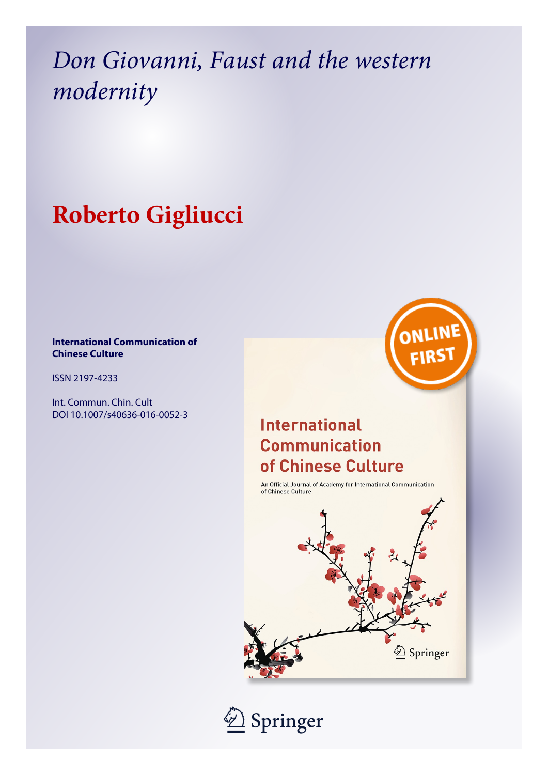# *Don Giovanni, Faust and the western modernity*

## **Roberto Gigliucci**

## **International Communication of Chinese Culture**

ISSN 2197-4233

Int. Commun. Chin. Cult DOI 10.1007/s40636-016-0052-3



## **International Communication** of Chinese Culture

An Official Journal of Academy for International Communication of Chinese Culture



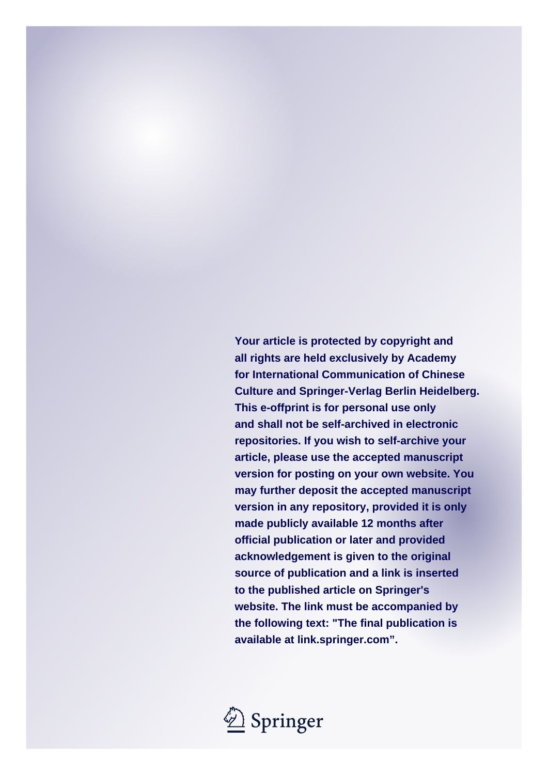**Your article is protected by copyright and all rights are held exclusively by Academy for International Communication of Chinese Culture and Springer-Verlag Berlin Heidelberg. This e-offprint is for personal use only and shall not be self-archived in electronic repositories. If you wish to self-archive your article, please use the accepted manuscript version for posting on your own website. You may further deposit the accepted manuscript version in any repository, provided it is only made publicly available 12 months after official publication or later and provided acknowledgement is given to the original source of publication and a link is inserted to the published article on Springer's website. The link must be accompanied by the following text: "The final publication is available at link.springer.com".**

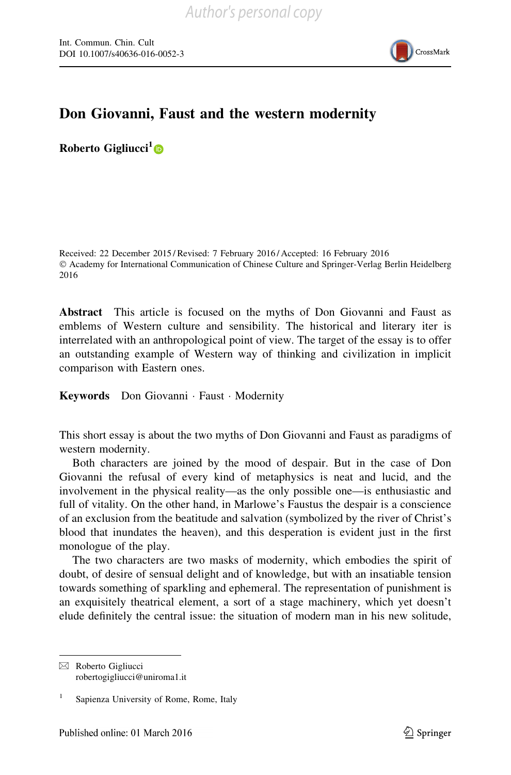

## Don Giovanni, Faust and the western modernity

Roberto Gigliucci<sup>1</sup>®

Received: 22 December 2015 / Revised: 7 February 2016 / Accepted: 16 February 2016 © Academy for International Communication of Chinese Culture and Springer-Verlag Berlin Heidelberg 2016

Abstract This article is focused on the myths of Don Giovanni and Faust as emblems of Western culture and sensibility. The historical and literary iter is interrelated with an anthropological point of view. The target of the essay is to offer an outstanding example of Western way of thinking and civilization in implicit comparison with Eastern ones.

Keywords Don Giovanni · Faust · Modernity

This short essay is about the two myths of Don Giovanni and Faust as paradigms of western modernity.

Both characters are joined by the mood of despair. But in the case of Don Giovanni the refusal of every kind of metaphysics is neat and lucid, and the involvement in the physical reality—as the only possible one—is enthusiastic and full of vitality. On the other hand, in Marlowe's Faustus the despair is a conscience of an exclusion from the beatitude and salvation (symbolized by the river of Christ's blood that inundates the heaven), and this desperation is evident just in the first monologue of the play.

The two characters are two masks of modernity, which embodies the spirit of doubt, of desire of sensual delight and of knowledge, but with an insatiable tension towards something of sparkling and ephemeral. The representation of punishment is an exquisitely theatrical element, a sort of a stage machinery, which yet doesn't elude definitely the central issue: the situation of modern man in his new solitude,

 $\boxtimes$  Roberto Gigliucci robertogigliucci@uniroma1.it

<sup>&</sup>lt;sup>1</sup> Sapienza University of Rome, Rome, Italy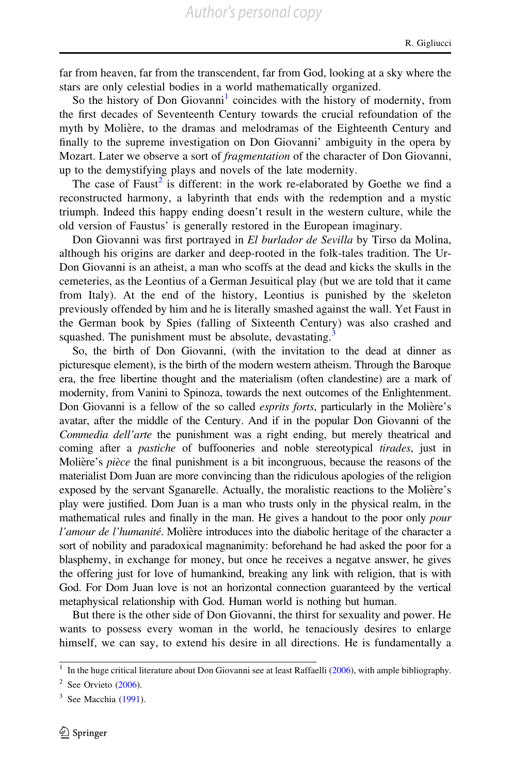far from heaven, far from the transcendent, far from God, looking at a sky where the stars are only celestial bodies in a world mathematically organized.

So the history of Don Giovanni<sup>1</sup> coincides with the history of modernity, from the first decades of Seventeenth Century towards the crucial refoundation of the myth by Molière, to the dramas and melodramas of the Eighteenth Century and finally to the supreme investigation on Don Giovanni' ambiguity in the opera by Mozart. Later we observe a sort of *fragmentation* of the character of Don Giovanni, up to the demystifying plays and novels of the late modernity.

The case of Faust<sup>2</sup> is different: in the work re-elaborated by Goethe we find a reconstructed harmony, a labyrinth that ends with the redemption and a mystic triumph. Indeed this happy ending doesn't result in the western culture, while the old version of Faustus' is generally restored in the European imaginary.

Don Giovanni was first portrayed in El burlador de Sevilla by Tirso da Molina, although his origins are darker and deep-rooted in the folk-tales tradition. The Ur-Don Giovanni is an atheist, a man who scoffs at the dead and kicks the skulls in the cemeteries, as the Leontius of a German Jesuitical play (but we are told that it came from Italy). At the end of the history, Leontius is punished by the skeleton previously offended by him and he is literally smashed against the wall. Yet Faust in the German book by Spies (falling of Sixteenth Century) was also crashed and squashed. The punishment must be absolute, devastating.<sup>3</sup>

So, the birth of Don Giovanni, (with the invitation to the dead at dinner as picturesque element), is the birth of the modern western atheism. Through the Baroque era, the free libertine thought and the materialism (often clandestine) are a mark of modernity, from Vanini to Spinoza, towards the next outcomes of the Enlightenment. Don Giovanni is a fellow of the so called *esprits forts*, particularly in the Molière's avatar, after the middle of the Century. And if in the popular Don Giovanni of the Commedia dell'arte the punishment was a right ending, but merely theatrical and coming after a *pastiche* of buffooneries and noble stereotypical *tirades*, just in Molière's *pièce* the final punishment is a bit incongruous, because the reasons of the materialist Dom Juan are more convincing than the ridiculous apologies of the religion exposed by the servant Sganarelle. Actually, the moralistic reactions to the Molière's play were justified. Dom Juan is a man who trusts only in the physical realm, in the mathematical rules and finally in the man. He gives a handout to the poor only *pour l'amour de l'humanité*. Molière introduces into the diabolic heritage of the character a sort of nobility and paradoxical magnanimity: beforehand he had asked the poor for a blasphemy, in exchange for money, but once he receives a negatve answer, he gives the offering just for love of humankind, breaking any link with religion, that is with God. For Dom Juan love is not an horizontal connection guaranteed by the vertical metaphysical relationship with God. Human world is nothing but human.

But there is the other side of Don Giovanni, the thirst for sexuality and power. He wants to possess every woman in the world, he tenaciously desires to enlarge himself, we can say, to extend his desire in all directions. He is fundamentally a

<sup>1</sup> In the huge critical literature about Don Giovanni see at least Raffaelli ([2006\)](#page-8-0), with ample bibliography.

 $2$  See Orvieto ([2006\)](#page-8-0).

 $3$  See Macchia ([1991\)](#page-8-0).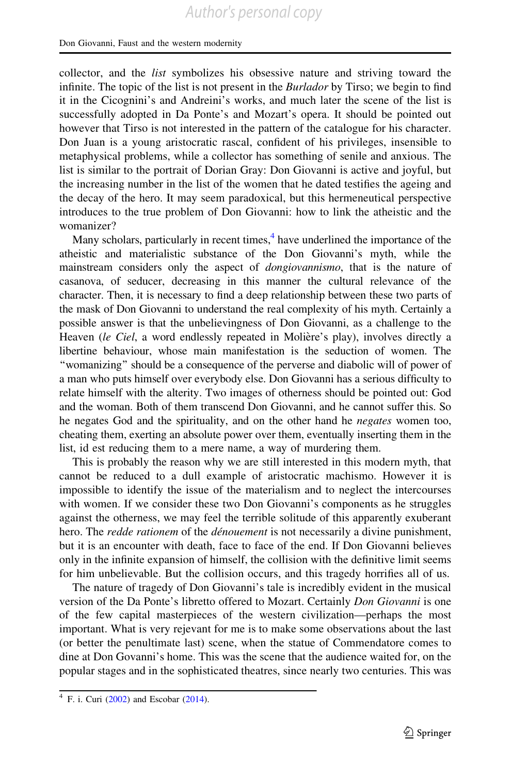#### Don Giovanni, Faust and the western modernity

collector, and the list symbolizes his obsessive nature and striving toward the infinite. The topic of the list is not present in the *Burlador* by Tirso; we begin to find it in the Cicognini's and Andreini's works, and much later the scene of the list is successfully adopted in Da Ponte's and Mozart's opera. It should be pointed out however that Tirso is not interested in the pattern of the catalogue for his character. Don Juan is a young aristocratic rascal, confident of his privileges, insensible to metaphysical problems, while a collector has something of senile and anxious. The list is similar to the portrait of Dorian Gray: Don Giovanni is active and joyful, but the increasing number in the list of the women that he dated testifies the ageing and the decay of the hero. It may seem paradoxical, but this hermeneutical perspective introduces to the true problem of Don Giovanni: how to link the atheistic and the womanizer?

Many scholars, particularly in recent times,  $4$  have underlined the importance of the atheistic and materialistic substance of the Don Giovanni's myth, while the mainstream considers only the aspect of dongiovannismo, that is the nature of casanova, of seducer, decreasing in this manner the cultural relevance of the character. Then, it is necessary to find a deep relationship between these two parts of the mask of Don Giovanni to understand the real complexity of his myth. Certainly a possible answer is that the unbelievingness of Don Giovanni, as a challenge to the Heaven (le Ciel, a word endlessly repeated in Molière's play), involves directly a libertine behaviour, whose main manifestation is the seduction of women. The ''womanizing'' should be a consequence of the perverse and diabolic will of power of a man who puts himself over everybody else. Don Giovanni has a serious difficulty to relate himself with the alterity. Two images of otherness should be pointed out: God and the woman. Both of them transcend Don Giovanni, and he cannot suffer this. So he negates God and the spirituality, and on the other hand he *negates* women too, cheating them, exerting an absolute power over them, eventually inserting them in the list, id est reducing them to a mere name, a way of murdering them.

This is probably the reason why we are still interested in this modern myth, that cannot be reduced to a dull example of aristocratic machismo. However it is impossible to identify the issue of the materialism and to neglect the intercourses with women. If we consider these two Don Giovanni's components as he struggles against the otherness, we may feel the terrible solitude of this apparently exuberant hero. The *redde rationem* of the *dénouement* is not necessarily a divine punishment, but it is an encounter with death, face to face of the end. If Don Giovanni believes only in the infinite expansion of himself, the collision with the definitive limit seems for him unbelievable. But the collision occurs, and this tragedy horrifies all of us.

The nature of tragedy of Don Giovanni's tale is incredibly evident in the musical version of the Da Ponte's libretto offered to Mozart. Certainly Don Giovanni is one of the few capital masterpieces of the western civilization—perhaps the most important. What is very rejevant for me is to make some observations about the last (or better the penultimate last) scene, when the statue of Commendatore comes to dine at Don Govanni's home. This was the scene that the audience waited for, on the popular stages and in the sophisticated theatres, since nearly two centuries. This was

 $4$  F. i. Curi [\(2002](#page-8-0)) and Escobar ([2014\)](#page-8-0).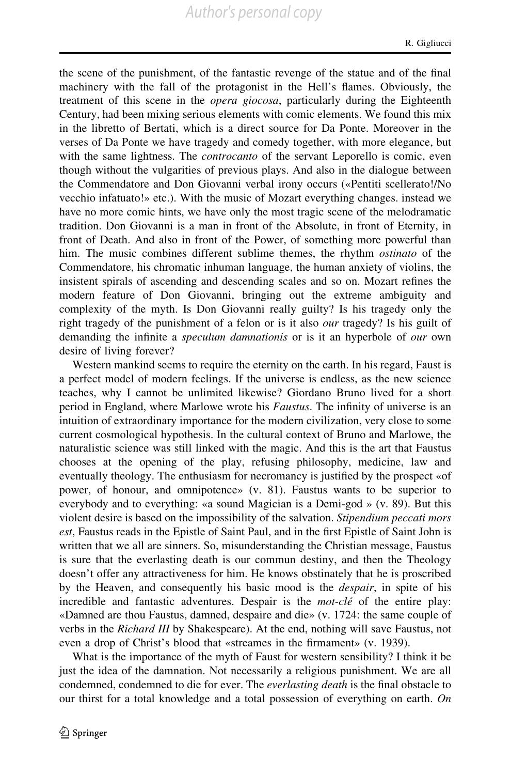the scene of the punishment, of the fantastic revenge of the statue and of the final machinery with the fall of the protagonist in the Hell's flames. Obviously, the treatment of this scene in the *opera giocosa*, particularly during the Eighteenth Century, had been mixing serious elements with comic elements. We found this mix in the libretto of Bertati, which is a direct source for Da Ponte. Moreover in the verses of Da Ponte we have tragedy and comedy together, with more elegance, but with the same lightness. The *controcanto* of the servant Leporello is comic, even though without the vulgarities of previous plays. And also in the dialogue between the Commendatore and Don Giovanni verbal irony occurs («Pentiti scellerato!/No vecchio infatuato!» etc.). With the music of Mozart everything changes. instead we have no more comic hints, we have only the most tragic scene of the melodramatic tradition. Don Giovanni is a man in front of the Absolute, in front of Eternity, in front of Death. And also in front of the Power, of something more powerful than him. The music combines different sublime themes, the rhythm *ostinato* of the Commendatore, his chromatic inhuman language, the human anxiety of violins, the insistent spirals of ascending and descending scales and so on. Mozart refines the modern feature of Don Giovanni, bringing out the extreme ambiguity and complexity of the myth. Is Don Giovanni really guilty? Is his tragedy only the right tragedy of the punishment of a felon or is it also our tragedy? Is his guilt of demanding the infinite a *speculum damnationis* or is it an hyperbole of *our* own desire of living forever?

Western mankind seems to require the eternity on the earth. In his regard, Faust is a perfect model of modern feelings. If the universe is endless, as the new science teaches, why I cannot be unlimited likewise? Giordano Bruno lived for a short period in England, where Marlowe wrote his Faustus. The infinity of universe is an intuition of extraordinary importance for the modern civilization, very close to some current cosmological hypothesis. In the cultural context of Bruno and Marlowe, the naturalistic science was still linked with the magic. And this is the art that Faustus chooses at the opening of the play, refusing philosophy, medicine, law and eventually theology. The enthusiasm for necromancy is justified by the prospect «of power, of honour, and omnipotence» (v. 81). Faustus wants to be superior to everybody and to everything: «a sound Magician is a Demi-god » (v. 89). But this violent desire is based on the impossibility of the salvation. Stipendium peccati mors est, Faustus reads in the Epistle of Saint Paul, and in the first Epistle of Saint John is written that we all are sinners. So, misunderstanding the Christian message, Faustus is sure that the everlasting death is our commun destiny, and then the Theology doesn't offer any attractiveness for him. He knows obstinately that he is proscribed by the Heaven, and consequently his basic mood is the *despair*, in spite of his incredible and fantastic adventures. Despair is the  $mot$ -cle $\epsilon$  of the entire play: «Damned are thou Faustus, damned, despaire and die» (v. 1724: the same couple of verbs in the Richard III by Shakespeare). At the end, nothing will save Faustus, not even a drop of Christ's blood that «streames in the firmament» (v. 1939).

What is the importance of the myth of Faust for western sensibility? I think it be just the idea of the damnation. Not necessarily a religious punishment. We are all condemned, condemned to die for ever. The *everlasting death* is the final obstacle to our thirst for a total knowledge and a total possession of everything on earth. On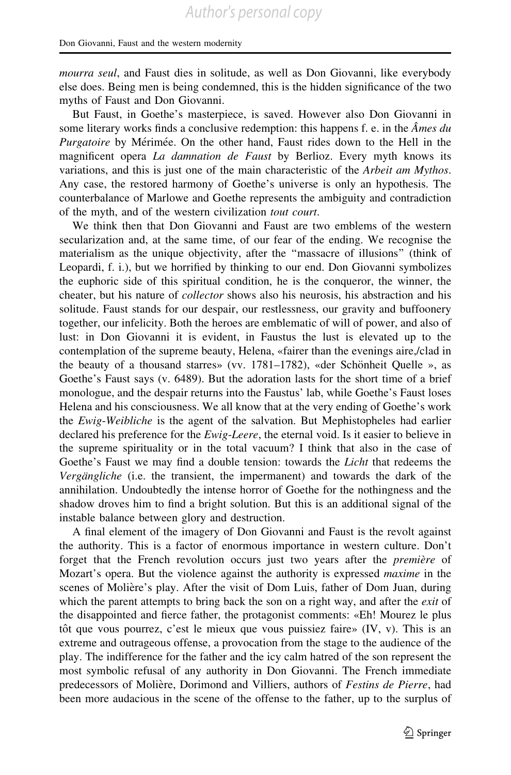mourra seul, and Faust dies in solitude, as well as Don Giovanni, like everybody else does. Being men is being condemned, this is the hidden significance of the two myths of Faust and Don Giovanni.

But Faust, in Goethe's masterpiece, is saved. However also Don Giovanni in some literary works finds a conclusive redemption: this happens f. e. in the  $\hat{A}$  mes du Purgatoire by Mérimée. On the other hand, Faust rides down to the Hell in the magnificent opera La damnation de Faust by Berlioz. Every myth knows its variations, and this is just one of the main characteristic of the Arbeit am Mythos. Any case, the restored harmony of Goethe's universe is only an hypothesis. The counterbalance of Marlowe and Goethe represents the ambiguity and contradiction of the myth, and of the western civilization tout court.

We think then that Don Giovanni and Faust are two emblems of the western secularization and, at the same time, of our fear of the ending. We recognise the materialism as the unique objectivity, after the ''massacre of illusions'' (think of Leopardi, f. i.), but we horrified by thinking to our end. Don Giovanni symbolizes the euphoric side of this spiritual condition, he is the conqueror, the winner, the cheater, but his nature of *collector* shows also his neurosis, his abstraction and his solitude. Faust stands for our despair, our restlessness, our gravity and buffoonery together, our infelicity. Both the heroes are emblematic of will of power, and also of lust: in Don Giovanni it is evident, in Faustus the lust is elevated up to the contemplation of the supreme beauty, Helena, «fairer than the evenings aire,/clad in the beauty of a thousand starres» (vv.  $1781-1782$ ), «der Schönheit Quelle », as Goethe's Faust says (v. 6489). But the adoration lasts for the short time of a brief monologue, and the despair returns into the Faustus' lab, while Goethe's Faust loses Helena and his consciousness. We all know that at the very ending of Goethe's work the Ewig-Weibliche is the agent of the salvation. But Mephistopheles had earlier declared his preference for the *Ewig-Leere*, the eternal void. Is it easier to believe in the supreme spirituality or in the total vacuum? I think that also in the case of Goethe's Faust we may find a double tension: towards the *Licht* that redeems the Vergängliche (i.e. the transient, the impermanent) and towards the dark of the annihilation. Undoubtedly the intense horror of Goethe for the nothingness and the shadow droves him to find a bright solution. But this is an additional signal of the instable balance between glory and destruction.

A final element of the imagery of Don Giovanni and Faust is the revolt against the authority. This is a factor of enormous importance in western culture. Don't forget that the French revolution occurs just two years after the *première* of Mozart's opera. But the violence against the authority is expressed *maxime* in the scenes of Molière's play. After the visit of Dom Luis, father of Dom Juan, during which the parent attempts to bring back the son on a right way, and after the *exit* of the disappointed and fierce father, the protagonist comments: «Eh! Mourez le plus tôt que vous pourrez, c'est le mieux que vous puissiez faire»  $(V, v)$ . This is an extreme and outrageous offense, a provocation from the stage to the audience of the play. The indifference for the father and the icy calm hatred of the son represent the most symbolic refusal of any authority in Don Giovanni. The French immediate predecessors of Molière, Dorimond and Villiers, authors of Festins de Pierre, had been more audacious in the scene of the offense to the father, up to the surplus of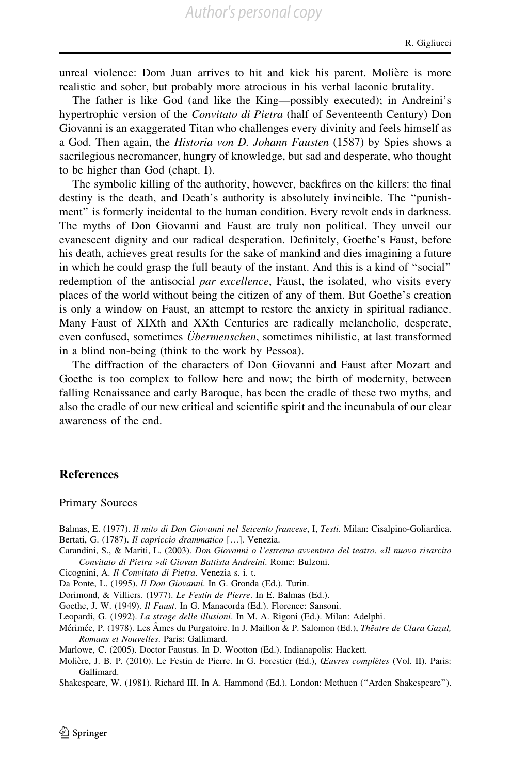*Author's personal copy*

unreal violence: Dom Juan arrives to hit and kick his parent. Molière is more realistic and sober, but probably more atrocious in his verbal laconic brutality.

The father is like God (and like the King—possibly executed); in Andreini's hypertrophic version of the *Convitato di Pietra* (half of Seventeenth Century) Don Giovanni is an exaggerated Titan who challenges every divinity and feels himself as a God. Then again, the Historia von D. Johann Fausten (1587) by Spies shows a sacrilegious necromancer, hungry of knowledge, but sad and desperate, who thought to be higher than God (chapt. I).

The symbolic killing of the authority, however, backfires on the killers: the final destiny is the death, and Death's authority is absolutely invincible. The ''punishment'' is formerly incidental to the human condition. Every revolt ends in darkness. The myths of Don Giovanni and Faust are truly non political. They unveil our evanescent dignity and our radical desperation. Definitely, Goethe's Faust, before his death, achieves great results for the sake of mankind and dies imagining a future in which he could grasp the full beauty of the instant. And this is a kind of ''social'' redemption of the antisocial par excellence, Faust, the isolated, who visits every places of the world without being the citizen of any of them. But Goethe's creation is only a window on Faust, an attempt to restore the anxiety in spiritual radiance. Many Faust of XIXth and XXth Centuries are radically melancholic, desperate, even confused, sometimes *Übermenschen*, sometimes nihilistic, at last transformed in a blind non-being (think to the work by Pessoa).

The diffraction of the characters of Don Giovanni and Faust after Mozart and Goethe is too complex to follow here and now; the birth of modernity, between falling Renaissance and early Baroque, has been the cradle of these two myths, and also the cradle of our new critical and scientific spirit and the incunabula of our clear awareness of the end.

### References

Primary Sources

Balmas, E. (1977). Il mito di Don Giovanni nel Seicento francese, I, Testi. Milan: Cisalpino-Goliardica.

- Bertati, G. (1787). Il capriccio drammatico [...]. Venezia.
- Carandini, S., & Mariti, L. (2003). Don Giovanni o l'estrema avventura del teatro. «Il nuovo risarcito Convitato di Pietra »di Giovan Battista Andreini. Rome: Bulzoni.
- Cicognini, A. Il Convitato di Pietra. Venezia s. i. t.

Da Ponte, L. (1995). *Il Don Giovanni*. In G. Gronda (Ed.). Turin.

- Dorimond, & Villiers. (1977). Le Festin de Pierre. In E. Balmas (Ed.).
- Goethe, J. W. (1949). Il Faust. In G. Manacorda (Ed.). Florence: Sansoni.
- Leopardi, G. (1992). La strage delle illusioni. In M. A. Rigoni (Ed.). Milan: Adelphi.
- Mérimée, P. (1978). Les Âmes du Purgatoire. In J. Maillon & P. Salomon (Ed.), Thêatre de Clara Gazul, Romans et Nouvelles. Paris: Gallimard.

Marlowe, C. (2005). Doctor Faustus. In D. Wootton (Ed.). Indianapolis: Hackett.

Molière, J. B. P. (2010). Le Festin de Pierre. In G. Forestier (Ed.), Œuvres complètes (Vol. II). Paris: Gallimard.

Shakespeare, W. (1981). Richard III. In A. Hammond (Ed.). London: Methuen (''Arden Shakespeare'').